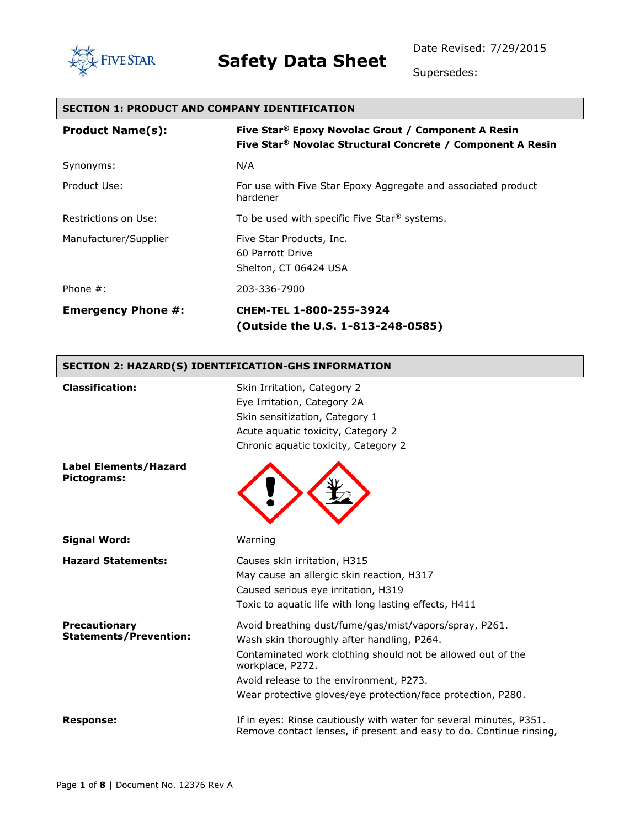

Supersedes:

| <b>SECTION 1: PRODUCT AND COMPANY IDENTIFICATION</b> |                                                                                                                                          |  |  |
|------------------------------------------------------|------------------------------------------------------------------------------------------------------------------------------------------|--|--|
| <b>Product Name(s):</b>                              | Five Star <sup>®</sup> Epoxy Novolac Grout / Component A Resin<br>Five Star <sup>®</sup> Novolac Structural Concrete / Component A Resin |  |  |
| Synonyms:                                            | N/A                                                                                                                                      |  |  |
| Product Use:                                         | For use with Five Star Epoxy Aggregate and associated product<br>hardener                                                                |  |  |
| Restrictions on Use:                                 | To be used with specific Five Star <sup>®</sup> systems.                                                                                 |  |  |
| Manufacturer/Supplier                                | Five Star Products, Inc.<br>60 Parrott Drive<br>Shelton, CT 06424 USA                                                                    |  |  |
| Phone $#$ :                                          | 203-336-7900                                                                                                                             |  |  |
| <b>Emergency Phone #:</b>                            | CHEM-TEL 1-800-255-3924<br>(Outside the U.S. 1-813-248-0585)                                                                             |  |  |
| SECTION 2: HAZARD(S) IDENTIFICATION-GHS INFORMATION  |                                                                                                                                          |  |  |

| <b>Classification:</b>                                | Skin Irritation, Category 2<br>Eye Irritation, Category 2A<br>Skin sensitization, Category 1<br>Acute aquatic toxicity, Category 2<br>Chronic aguatic toxicity, Category 2                                                                                                                         |
|-------------------------------------------------------|----------------------------------------------------------------------------------------------------------------------------------------------------------------------------------------------------------------------------------------------------------------------------------------------------|
| <b>Label Elements/Hazard</b><br>Pictograms:           |                                                                                                                                                                                                                                                                                                    |
| <b>Signal Word:</b>                                   | Warning                                                                                                                                                                                                                                                                                            |
| <b>Hazard Statements:</b>                             | Causes skin irritation, H315<br>May cause an allergic skin reaction, H317<br>Caused serious eye irritation, H319<br>Toxic to aquatic life with long lasting effects, H411                                                                                                                          |
| <b>Precautionary</b><br><b>Statements/Prevention:</b> | Avoid breathing dust/fume/gas/mist/vapors/spray, P261.<br>Wash skin thoroughly after handling, P264.<br>Contaminated work clothing should not be allowed out of the<br>workplace, P272.<br>Avoid release to the environment, P273.<br>Wear protective gloves/eye protection/face protection, P280. |
| <b>Response:</b>                                      | If in eyes: Rinse cautiously with water for several minutes, P351.<br>Remove contact lenses, if present and easy to do. Continue rinsing,                                                                                                                                                          |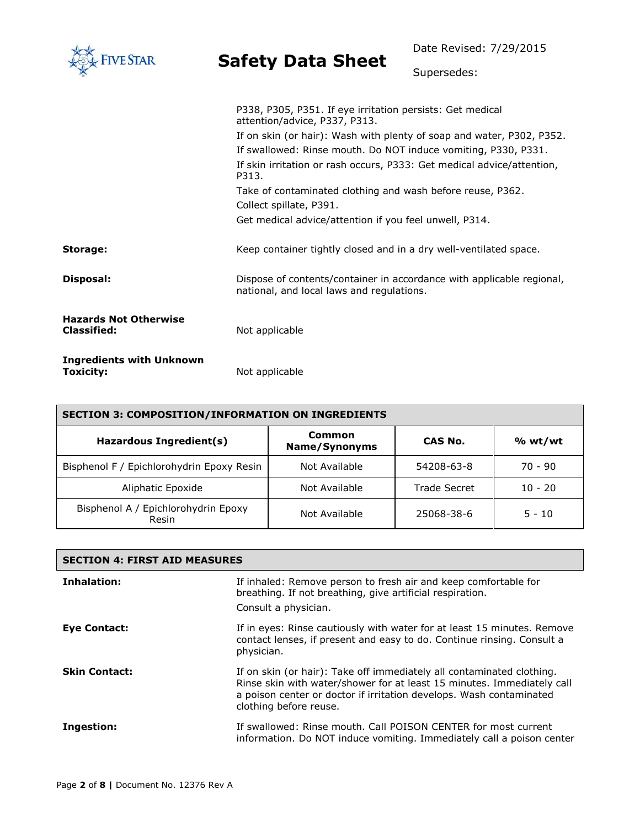| <b>IVE STAR</b>                                    | <b>Safety Data Sheet</b>                                                                                                                                                                                          | Date Revised: 7/29/2015 |  |
|----------------------------------------------------|-------------------------------------------------------------------------------------------------------------------------------------------------------------------------------------------------------------------|-------------------------|--|
|                                                    |                                                                                                                                                                                                                   | Supersedes:             |  |
|                                                    | P338, P305, P351. If eye irritation persists: Get medical<br>attention/advice, P337, P313.                                                                                                                        |                         |  |
|                                                    | If on skin (or hair): Wash with plenty of soap and water, P302, P352.<br>If swallowed: Rinse mouth. Do NOT induce vomiting, P330, P331.<br>If skin irritation or rash occurs, P333: Get medical advice/attention, |                         |  |
|                                                    | P313.<br>Take of contaminated clothing and wash before reuse, P362.<br>Collect spillate, P391.                                                                                                                    |                         |  |
|                                                    | Get medical advice/attention if you feel unwell, P314.                                                                                                                                                            |                         |  |
| Storage:                                           | Keep container tightly closed and in a dry well-ventilated space.                                                                                                                                                 |                         |  |
| Disposal:                                          | Dispose of contents/container in accordance with applicable regional,<br>national, and local laws and regulations.                                                                                                |                         |  |
| <b>Hazards Not Otherwise</b><br><b>Classified:</b> | Not applicable                                                                                                                                                                                                    |                         |  |
| <b>Ingredients with Unknown</b><br>Toxicity:       | Not applicable                                                                                                                                                                                                    |                         |  |

| <b>SECTION 3: COMPOSITION/INFORMATION ON INGREDIENTS</b> |                         |                     |           |
|----------------------------------------------------------|-------------------------|---------------------|-----------|
| Hazardous Ingredient(s)                                  | Common<br>Name/Synonyms | CAS No.             | % wt/wt   |
| Bisphenol F / Epichlorohydrin Epoxy Resin                | Not Available           | 54208-63-8          | $70 - 90$ |
| Aliphatic Epoxide                                        | Not Available           | <b>Trade Secret</b> | $10 - 20$ |
| Bisphenol A / Epichlorohydrin Epoxy<br>Resin             | Not Available           | 25068-38-6          | $5 - 10$  |

| <b>SECTION 4: FIRST AID MEASURES</b> |                                                                                                                                                                                                                                                  |  |
|--------------------------------------|--------------------------------------------------------------------------------------------------------------------------------------------------------------------------------------------------------------------------------------------------|--|
| Inhalation:                          | If inhaled: Remove person to fresh air and keep comfortable for<br>breathing. If not breathing, give artificial respiration.<br>Consult a physician.                                                                                             |  |
| <b>Eve Contact:</b>                  | If in eyes: Rinse cautiously with water for at least 15 minutes. Remove<br>contact lenses, if present and easy to do. Continue rinsing. Consult a<br>physician.                                                                                  |  |
| <b>Skin Contact:</b>                 | If on skin (or hair): Take off immediately all contaminated clothing.<br>Rinse skin with water/shower for at least 15 minutes. Immediately call<br>a poison center or doctor if irritation develops. Wash contaminated<br>clothing before reuse. |  |
| Ingestion:                           | If swallowed: Rinse mouth. Call POISON CENTER for most current<br>information. Do NOT induce vomiting. Immediately call a poison center                                                                                                          |  |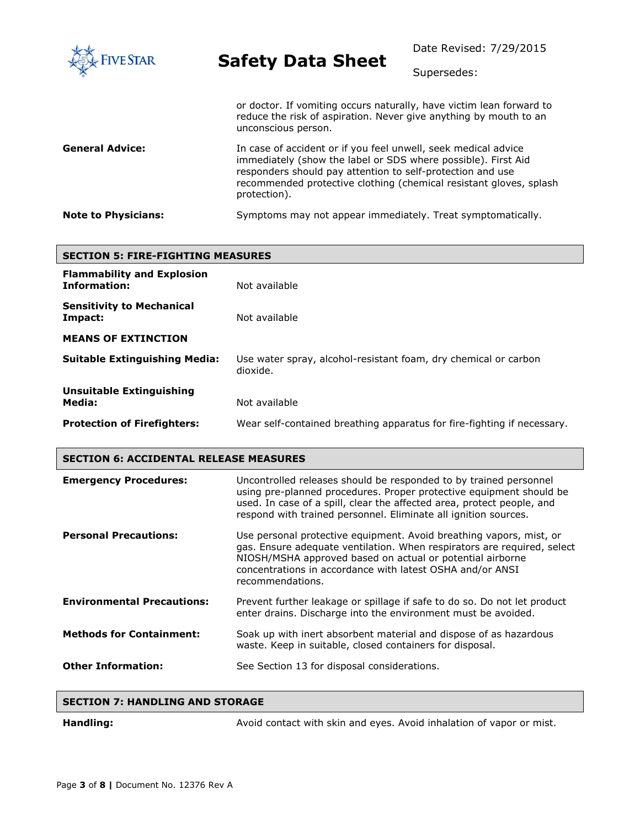| <b>FIVE STAR</b>           | <b>Safety Data Sheet</b>                                                                                                                                                                                                                                                             | Date Revised: 7/29/2015<br>Supersedes: |
|----------------------------|--------------------------------------------------------------------------------------------------------------------------------------------------------------------------------------------------------------------------------------------------------------------------------------|----------------------------------------|
|                            | or doctor. If vomiting occurs naturally, have victim lean forward to<br>reduce the risk of aspiration. Never give anything by mouth to an<br>unconscious person.                                                                                                                     |                                        |
| <b>General Advice:</b>     | In case of accident or if you feel unwell, seek medical advice<br>immediately (show the label or SDS where possible). First Aid<br>responders should pay attention to self-protection and use<br>recommended protective clothing (chemical resistant gloves, splash)<br>protection). |                                        |
| <b>Note to Physicians:</b> | Symptoms may not appear immediately. Treat symptomatically.                                                                                                                                                                                                                          |                                        |

| <b>SECTION 5: FIRE-FIGHTING MEASURES</b>                 |                                                                             |  |
|----------------------------------------------------------|-----------------------------------------------------------------------------|--|
| <b>Flammability and Explosion</b><br><b>Information:</b> | Not available                                                               |  |
| <b>Sensitivity to Mechanical</b><br>Impact:              | Not available                                                               |  |
| <b>MEANS OF EXTINCTION</b>                               |                                                                             |  |
| <b>Suitable Extinguishing Media:</b>                     | Use water spray, alcohol-resistant foam, dry chemical or carbon<br>dioxide. |  |
| <b>Unsuitable Extinguishing</b><br>Media:                | Not available                                                               |  |
| <b>Protection of Firefighters:</b>                       | Wear self-contained breathing apparatus for fire-fighting if necessary.     |  |

| <b>Emergency Procedures:</b>      | Uncontrolled releases should be responded to by trained personnel<br>using pre-planned procedures. Proper protective equipment should be<br>used. In case of a spill, clear the affected area, protect people, and<br>respond with trained personnel. Eliminate all ignition sources.        |
|-----------------------------------|----------------------------------------------------------------------------------------------------------------------------------------------------------------------------------------------------------------------------------------------------------------------------------------------|
| <b>Personal Precautions:</b>      | Use personal protective equipment. Avoid breathing vapors, mist, or<br>gas. Ensure adequate ventilation. When respirators are required, select<br>NIOSH/MSHA approved based on actual or potential airborne<br>concentrations in accordance with latest OSHA and/or ANSI<br>recommendations. |
| <b>Environmental Precautions:</b> | Prevent further leakage or spillage if safe to do so. Do not let product<br>enter drains. Discharge into the environment must be avoided.                                                                                                                                                    |
| <b>Methods for Containment:</b>   | Soak up with inert absorbent material and dispose of as hazardous<br>waste. Keep in suitable, closed containers for disposal.                                                                                                                                                                |
| <b>Other Information:</b>         | See Section 13 for disposal considerations.                                                                                                                                                                                                                                                  |

|  | <b>SECTION 7: HANDLING AND STORAGE</b> |  |  |
|--|----------------------------------------|--|--|
|--|----------------------------------------|--|--|

Handling: **Handling:** Avoid contact with skin and eyes. Avoid inhalation of vapor or mist.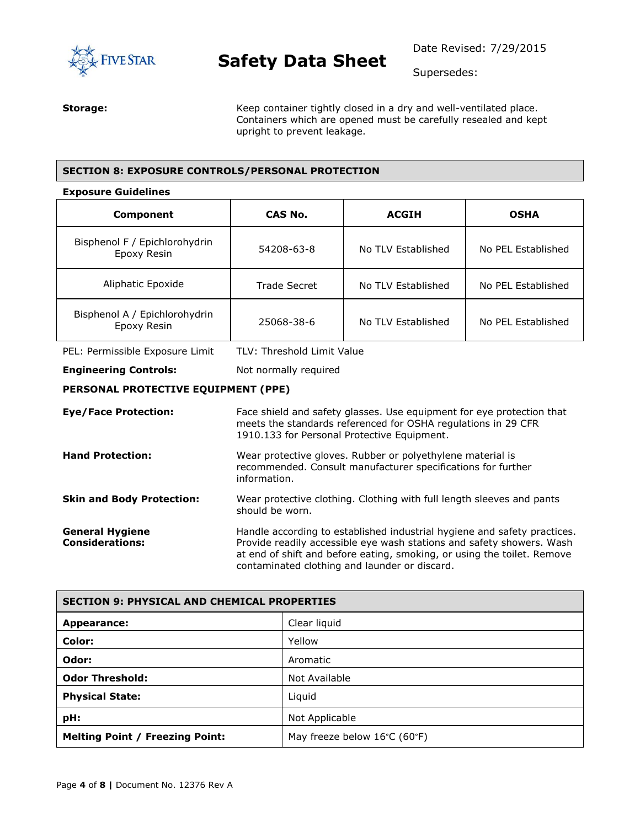

Supersedes:

**Storage:** Keep container tightly closed in a dry and well-ventilated place. Containers which are opened must be carefully resealed and kept upright to prevent leakage.

#### **SECTION 8: EXPOSURE CONTROLS/PERSONAL PROTECTION**

#### **Exposure Guidelines**

| Component                                    | CAS No.<br><b>ACGIH</b>    |                    | <b>OSHA</b>        |  |
|----------------------------------------------|----------------------------|--------------------|--------------------|--|
| Bisphenol F / Epichlorohydrin<br>Epoxy Resin | 54208-63-8                 | No TLV Established | No PFL Established |  |
| Aliphatic Epoxide                            | Trade Secret               | No TLV Established | No PEL Established |  |
| Bisphenol A / Epichlorohydrin<br>Epoxy Resin | 25068-38-6                 | No TLV Established | No PEL Established |  |
| PEL: Permissible Exposure Limit              | TLV: Threshold Limit Value |                    |                    |  |
| <b>Engineering Controls:</b>                 | Not normally required      |                    |                    |  |
| PERSONAL PROTECTIVE EQUIPMENT (PPE)          |                            |                    |                    |  |

**Eye/Face Protection:** Face shield and safety glasses. Use equipment for eye protection that meets the standards referenced for OSHA regulations in 29 CFR 1910.133 for Personal Protective Equipment. **Hand Protection:** Wear protective gloves. Rubber or polyethylene material is recommended. Consult manufacturer specifications for further information. **Skin and Body Protection:** Wear protective clothing. Clothing with full length sleeves and pants should be worn. **General Hygiene Considerations:** Handle according to established industrial hygiene and safety practices. Provide readily accessible eye wash stations and safety showers. Wash at end of shift and before eating, smoking, or using the toilet. Remove contaminated clothing and launder or discard.

| <b>SECTION 9: PHYSICAL AND CHEMICAL PROPERTIES</b> |                              |  |
|----------------------------------------------------|------------------------------|--|
| Appearance:                                        | Clear liquid                 |  |
| Color:                                             | Yellow                       |  |
| Odor:                                              | Aromatic                     |  |
| <b>Odor Threshold:</b>                             | Not Available                |  |
| <b>Physical State:</b>                             | Liquid                       |  |
| pH:                                                | Not Applicable               |  |
| <b>Melting Point / Freezing Point:</b>             | May freeze below 16°C (60°F) |  |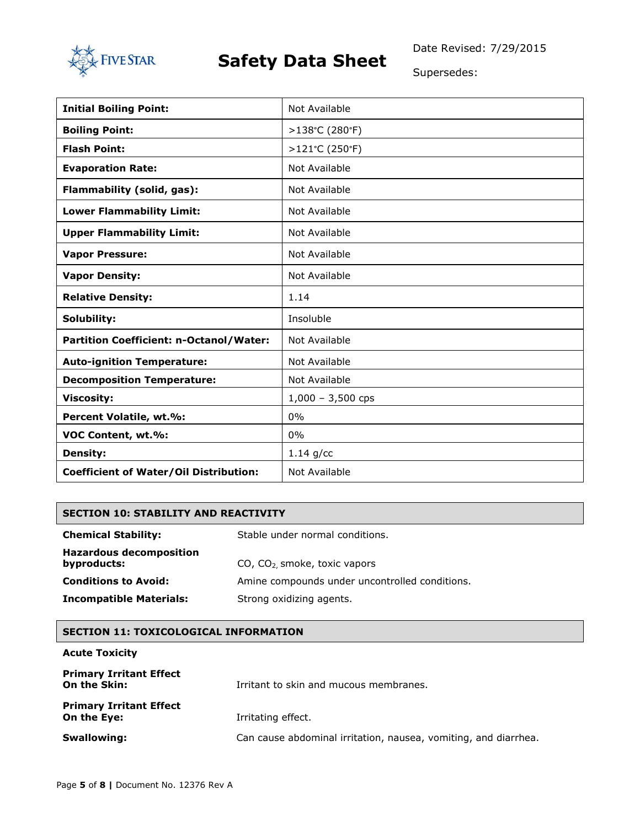

Date Revised: 7/29/2015

Supersedes:

| <b>Initial Boiling Point:</b>                 | Not Available       |
|-----------------------------------------------|---------------------|
| <b>Boiling Point:</b>                         | >138°C (280°F)      |
| <b>Flash Point:</b>                           | >121°C (250°F)      |
| <b>Evaporation Rate:</b>                      | Not Available       |
| Flammability (solid, gas):                    | Not Available       |
| <b>Lower Flammability Limit:</b>              | Not Available       |
| <b>Upper Flammability Limit:</b>              | Not Available       |
| <b>Vapor Pressure:</b>                        | Not Available       |
| <b>Vapor Density:</b>                         | Not Available       |
| <b>Relative Density:</b>                      | 1.14                |
| Solubility:                                   | Insoluble           |
| Partition Coefficient: n-Octanol/Water:       | Not Available       |
| <b>Auto-ignition Temperature:</b>             | Not Available       |
| <b>Decomposition Temperature:</b>             | Not Available       |
| <b>Viscosity:</b>                             | $1,000 - 3,500$ cps |
| Percent Volatile, wt.%:                       | 0%                  |
| VOC Content, wt.%:                            | 0%                  |
| <b>Density:</b>                               | $1.14$ g/cc         |
| <b>Coefficient of Water/Oil Distribution:</b> | Not Available       |

#### **SECTION 10: STABILITY AND REACTIVITY**

| <b>Chemical Stability:</b>                    | Stable under normal conditions.                |  |
|-----------------------------------------------|------------------------------------------------|--|
| <b>Hazardous decomposition</b><br>byproducts: | CO, CO <sub>2</sub> smoke, toxic vapors        |  |
| <b>Conditions to Avoid:</b>                   | Amine compounds under uncontrolled conditions. |  |
| <b>Incompatible Materials:</b>                | Strong oxidizing agents.                       |  |

#### **SECTION 11: TOXICOLOGICAL INFORMATION**

#### **Acute Toxicity**

| <b>Primary Irritant Effect</b><br>On the Skin: | Irritant to skin and mucous membranes.                          |
|------------------------------------------------|-----------------------------------------------------------------|
| <b>Primary Irritant Effect</b><br>On the Eye:  | Irritating effect.                                              |
| <b>Swallowing:</b>                             | Can cause abdominal irritation, nausea, vomiting, and diarrhea. |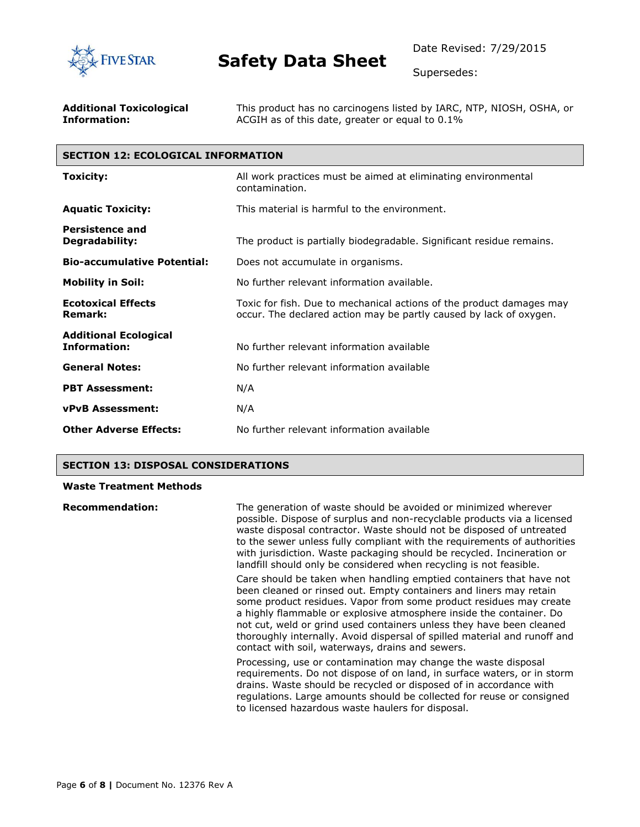

Supersedes:

| <b>Additional Toxicological</b> | This product has no carcinogens listed by IARC, NTP, NIOSH, OSHA, or |
|---------------------------------|----------------------------------------------------------------------|
| Information:                    | ACGIH as of this date, greater or equal to 0.1%                      |

### **SECTION 12: ECOLOGICAL INFORMATION**

| Toxicity:                                           | All work practices must be aimed at eliminating environmental<br>contamination.                                                            |  |  |
|-----------------------------------------------------|--------------------------------------------------------------------------------------------------------------------------------------------|--|--|
| <b>Aquatic Toxicity:</b>                            | This material is harmful to the environment.                                                                                               |  |  |
| <b>Persistence and</b><br>Degradability:            | The product is partially biodegradable. Significant residue remains.                                                                       |  |  |
| <b>Bio-accumulative Potential:</b>                  | Does not accumulate in organisms.                                                                                                          |  |  |
| <b>Mobility in Soil:</b>                            | No further relevant information available.                                                                                                 |  |  |
| <b>Ecotoxical Effects</b><br><b>Remark:</b>         | Toxic for fish. Due to mechanical actions of the product damages may<br>occur. The declared action may be partly caused by lack of oxygen. |  |  |
| <b>Additional Ecological</b><br><b>Information:</b> | No further relevant information available                                                                                                  |  |  |
| <b>General Notes:</b>                               | No further relevant information available                                                                                                  |  |  |
| <b>PBT Assessment:</b>                              | N/A                                                                                                                                        |  |  |
| <b>vPvB Assessment:</b>                             | N/A                                                                                                                                        |  |  |
| <b>Other Adverse Effects:</b>                       | No further relevant information available                                                                                                  |  |  |

#### **SECTION 13: DISPOSAL CONSIDERATIONS**

#### **Waste Treatment Methods**

| <b>Recommendation:</b> | The generation of waste should be avoided or minimized wherever<br>possible. Dispose of surplus and non-recyclable products via a licensed<br>waste disposal contractor. Waste should not be disposed of untreated<br>to the sewer unless fully compliant with the requirements of authorities<br>with jurisdiction. Waste packaging should be recycled. Incineration or<br>landfill should only be considered when recycling is not feasible.                                                  |
|------------------------|-------------------------------------------------------------------------------------------------------------------------------------------------------------------------------------------------------------------------------------------------------------------------------------------------------------------------------------------------------------------------------------------------------------------------------------------------------------------------------------------------|
|                        | Care should be taken when handling emptied containers that have not<br>been cleaned or rinsed out. Empty containers and liners may retain<br>some product residues. Vapor from some product residues may create<br>a highly flammable or explosive atmosphere inside the container. Do<br>not cut, weld or grind used containers unless they have been cleaned<br>thoroughly internally. Avoid dispersal of spilled material and runoff and<br>contact with soil, waterways, drains and sewers. |
|                        | Processing, use or contamination may change the waste disposal<br>requirements. Do not dispose of on land, in surface waters, or in storm<br>drains. Waste should be recycled or disposed of in accordance with<br>regulations. Large amounts should be collected for reuse or consigned<br>to licensed hazardous waste haulers for disposal.                                                                                                                                                   |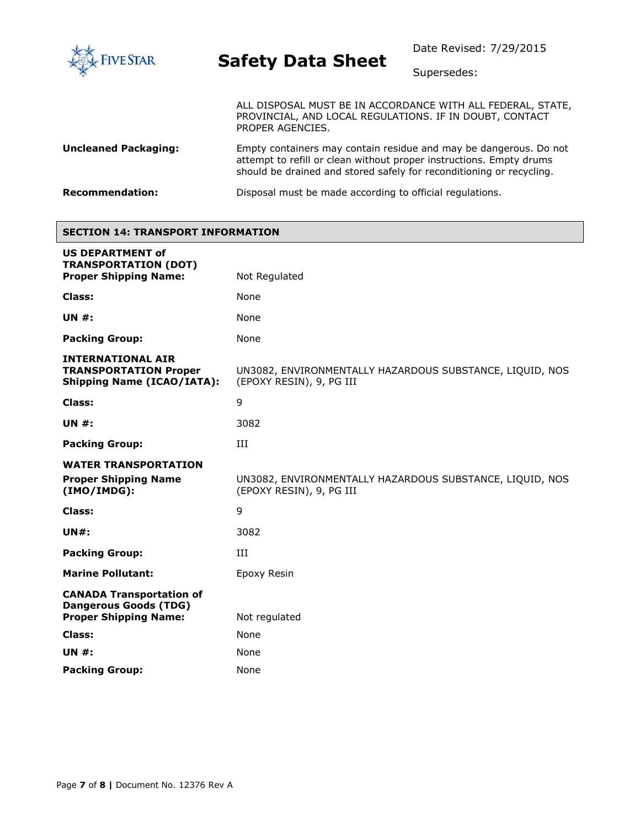

Supersedes:

ALL DISPOSAL MUST BE IN ACCORDANCE WITH ALL FEDERAL, STATE, PROVINCIAL, AND LOCAL REGULATIONS. IF IN DOUBT, CONTACT PROPER AGENCIES.

**Uncleaned Packaging:** Empty containers may contain residue and may be dangerous. Do not attempt to refill or clean without proper instructions. Empty drums should be drained and stored safely for reconditioning or recycling.

**Recommendation:** Disposal must be made according to official regulations.

#### **SECTION 14: TRANSPORT INFORMATION**

| <b>US DEPARTMENT of</b><br><b>TRANSPORTATION (DOT)</b>                                          |                                                                                      |  |
|-------------------------------------------------------------------------------------------------|--------------------------------------------------------------------------------------|--|
| <b>Proper Shipping Name:</b>                                                                    | Not Regulated                                                                        |  |
| <b>Class:</b>                                                                                   | None                                                                                 |  |
| <b>UN #:</b>                                                                                    | None                                                                                 |  |
| <b>Packing Group:</b>                                                                           | None                                                                                 |  |
| <b>INTERNATIONAL AIR</b><br><b>TRANSPORTATION Proper</b><br><b>Shipping Name (ICAO/IATA):</b>   | UN3082, ENVIRONMENTALLY HAZARDOUS SUBSTANCE, LIQUID, NOS<br>(EPOXY RESIN), 9, PG III |  |
| Class:                                                                                          | 9                                                                                    |  |
| <b>UN #:</b>                                                                                    | 3082                                                                                 |  |
| <b>Packing Group:</b>                                                                           | III                                                                                  |  |
| <b>WATER TRANSPORTATION</b>                                                                     |                                                                                      |  |
| <b>Proper Shipping Name</b><br>(IMO/IMDG):                                                      | UN3082, ENVIRONMENTALLY HAZARDOUS SUBSTANCE, LIQUID, NOS<br>(EPOXY RESIN), 9, PG III |  |
| Class:                                                                                          | 9                                                                                    |  |
| <b>UN#:</b>                                                                                     | 3082                                                                                 |  |
| <b>Packing Group:</b>                                                                           | ИI                                                                                   |  |
| <b>Marine Pollutant:</b>                                                                        | Epoxy Resin                                                                          |  |
| <b>CANADA Transportation of</b><br><b>Dangerous Goods (TDG)</b><br><b>Proper Shipping Name:</b> | Not regulated                                                                        |  |
| Class:                                                                                          | None                                                                                 |  |
| <b>UN #:</b>                                                                                    | None                                                                                 |  |
| <b>Packing Group:</b>                                                                           | None                                                                                 |  |